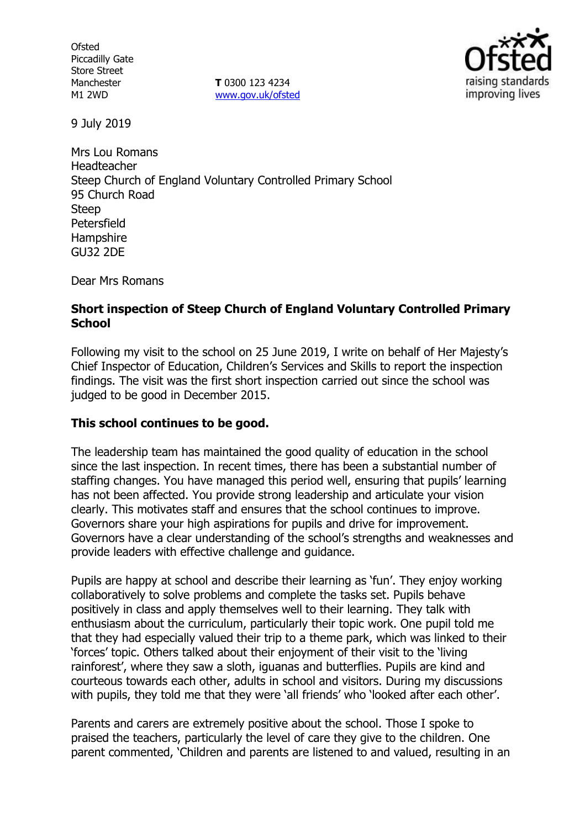**Ofsted** Piccadilly Gate Store Street Manchester M1 2WD

**T** 0300 123 4234 www.gov.uk/ofsted



9 July 2019

Mrs Lou Romans Headteacher Steep Church of England Voluntary Controlled Primary School 95 Church Road **Steep** Petersfield **Hampshire** GU32 2DE

Dear Mrs Romans

#### **Short inspection of Steep Church of England Voluntary Controlled Primary School**

Following my visit to the school on 25 June 2019, I write on behalf of Her Majesty's Chief Inspector of Education, Children's Services and Skills to report the inspection findings. The visit was the first short inspection carried out since the school was judged to be good in December 2015.

### **This school continues to be good.**

The leadership team has maintained the good quality of education in the school since the last inspection. In recent times, there has been a substantial number of staffing changes. You have managed this period well, ensuring that pupils' learning has not been affected. You provide strong leadership and articulate your vision clearly. This motivates staff and ensures that the school continues to improve. Governors share your high aspirations for pupils and drive for improvement. Governors have a clear understanding of the school's strengths and weaknesses and provide leaders with effective challenge and guidance.

Pupils are happy at school and describe their learning as 'fun'. They enjoy working collaboratively to solve problems and complete the tasks set. Pupils behave positively in class and apply themselves well to their learning. They talk with enthusiasm about the curriculum, particularly their topic work. One pupil told me that they had especially valued their trip to a theme park, which was linked to their 'forces' topic. Others talked about their enjoyment of their visit to the 'living rainforest', where they saw a sloth, iguanas and butterflies. Pupils are kind and courteous towards each other, adults in school and visitors. During my discussions with pupils, they told me that they were 'all friends' who 'looked after each other'.

Parents and carers are extremely positive about the school. Those I spoke to praised the teachers, particularly the level of care they give to the children. One parent commented, 'Children and parents are listened to and valued, resulting in an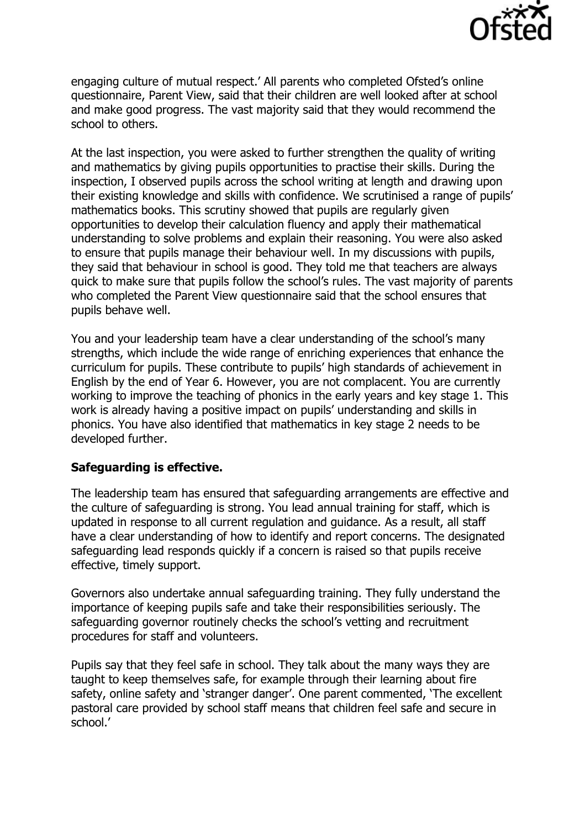

engaging culture of mutual respect.' All parents who completed Ofsted's online questionnaire, Parent View, said that their children are well looked after at school and make good progress. The vast majority said that they would recommend the school to others.

At the last inspection, you were asked to further strengthen the quality of writing and mathematics by giving pupils opportunities to practise their skills. During the inspection, I observed pupils across the school writing at length and drawing upon their existing knowledge and skills with confidence. We scrutinised a range of pupils' mathematics books. This scrutiny showed that pupils are regularly given opportunities to develop their calculation fluency and apply their mathematical understanding to solve problems and explain their reasoning. You were also asked to ensure that pupils manage their behaviour well. In my discussions with pupils, they said that behaviour in school is good. They told me that teachers are always quick to make sure that pupils follow the school's rules. The vast majority of parents who completed the Parent View questionnaire said that the school ensures that pupils behave well.

You and your leadership team have a clear understanding of the school's many strengths, which include the wide range of enriching experiences that enhance the curriculum for pupils. These contribute to pupils' high standards of achievement in English by the end of Year 6. However, you are not complacent. You are currently working to improve the teaching of phonics in the early years and key stage 1. This work is already having a positive impact on pupils' understanding and skills in phonics. You have also identified that mathematics in key stage 2 needs to be developed further.

### **Safeguarding is effective.**

The leadership team has ensured that safeguarding arrangements are effective and the culture of safeguarding is strong. You lead annual training for staff, which is updated in response to all current regulation and guidance. As a result, all staff have a clear understanding of how to identify and report concerns. The designated safeguarding lead responds quickly if a concern is raised so that pupils receive effective, timely support.

Governors also undertake annual safeguarding training. They fully understand the importance of keeping pupils safe and take their responsibilities seriously. The safeguarding governor routinely checks the school's vetting and recruitment procedures for staff and volunteers.

Pupils say that they feel safe in school. They talk about the many ways they are taught to keep themselves safe, for example through their learning about fire safety, online safety and 'stranger danger'. One parent commented, 'The excellent pastoral care provided by school staff means that children feel safe and secure in school.'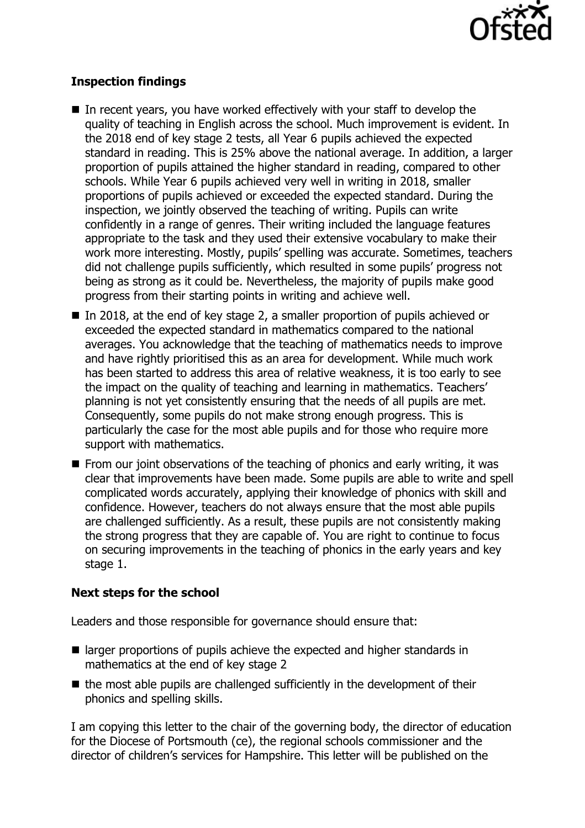

# **Inspection findings**

- In recent years, you have worked effectively with your staff to develop the quality of teaching in English across the school. Much improvement is evident. In the 2018 end of key stage 2 tests, all Year 6 pupils achieved the expected standard in reading. This is 25% above the national average. In addition, a larger proportion of pupils attained the higher standard in reading, compared to other schools. While Year 6 pupils achieved very well in writing in 2018, smaller proportions of pupils achieved or exceeded the expected standard. During the inspection, we jointly observed the teaching of writing. Pupils can write confidently in a range of genres. Their writing included the language features appropriate to the task and they used their extensive vocabulary to make their work more interesting. Mostly, pupils' spelling was accurate. Sometimes, teachers did not challenge pupils sufficiently, which resulted in some pupils' progress not being as strong as it could be. Nevertheless, the majority of pupils make good progress from their starting points in writing and achieve well.
- In 2018, at the end of key stage 2, a smaller proportion of pupils achieved or exceeded the expected standard in mathematics compared to the national averages. You acknowledge that the teaching of mathematics needs to improve and have rightly prioritised this as an area for development. While much work has been started to address this area of relative weakness, it is too early to see the impact on the quality of teaching and learning in mathematics. Teachers' planning is not yet consistently ensuring that the needs of all pupils are met. Consequently, some pupils do not make strong enough progress. This is particularly the case for the most able pupils and for those who require more support with mathematics.
- $\blacksquare$  From our joint observations of the teaching of phonics and early writing, it was clear that improvements have been made. Some pupils are able to write and spell complicated words accurately, applying their knowledge of phonics with skill and confidence. However, teachers do not always ensure that the most able pupils are challenged sufficiently. As a result, these pupils are not consistently making the strong progress that they are capable of. You are right to continue to focus on securing improvements in the teaching of phonics in the early years and key stage 1.

# **Next steps for the school**

Leaders and those responsible for governance should ensure that:

- larger proportions of pupils achieve the expected and higher standards in mathematics at the end of key stage 2
- $\blacksquare$  the most able pupils are challenged sufficiently in the development of their phonics and spelling skills.

I am copying this letter to the chair of the governing body, the director of education for the Diocese of Portsmouth (ce), the regional schools commissioner and the director of children's services for Hampshire. This letter will be published on the